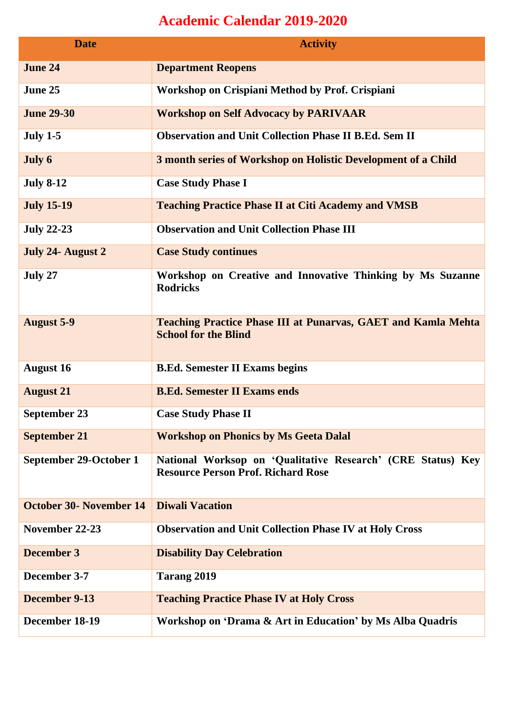## **Academic Calendar 2019-2020**

| <b>Date</b>             | <b>Activity</b>                                                                                          |
|-------------------------|----------------------------------------------------------------------------------------------------------|
| <b>June 24</b>          | <b>Department Reopens</b>                                                                                |
| June 25                 | Workshop on Crispiani Method by Prof. Crispiani                                                          |
| <b>June 29-30</b>       | <b>Workshop on Self Advocacy by PARIVAAR</b>                                                             |
| <b>July 1-5</b>         | <b>Observation and Unit Collection Phase II B.Ed. Sem II</b>                                             |
| July 6                  | 3 month series of Workshop on Holistic Development of a Child                                            |
| <b>July 8-12</b>        | <b>Case Study Phase I</b>                                                                                |
| <b>July 15-19</b>       | <b>Teaching Practice Phase II at Citi Academy and VMSB</b>                                               |
| <b>July 22-23</b>       | <b>Observation and Unit Collection Phase III</b>                                                         |
| July 24- August 2       | <b>Case Study continues</b>                                                                              |
| July 27                 | Workshop on Creative and Innovative Thinking by Ms Suzanne<br><b>Rodricks</b>                            |
| <b>August 5-9</b>       | <b>Teaching Practice Phase III at Punarvas, GAET and Kamla Mehta</b><br><b>School for the Blind</b>      |
| <b>August 16</b>        | <b>B.Ed. Semester II Exams begins</b>                                                                    |
| <b>August 21</b>        | <b>B.Ed. Semester II Exams ends</b>                                                                      |
| <b>September 23</b>     | <b>Case Study Phase II</b>                                                                               |
| <b>September 21</b>     | <b>Workshop on Phonics by Ms Geeta Dalal</b>                                                             |
| September 29-October 1  | National Worksop on 'Qualitative Research' (CRE Status) Key<br><b>Resource Person Prof. Richard Rose</b> |
| October 30- November 14 | <b>Diwali Vacation</b>                                                                                   |
| November 22-23          | <b>Observation and Unit Collection Phase IV at Holy Cross</b>                                            |
| <b>December 3</b>       | <b>Disability Day Celebration</b>                                                                        |
| December 3-7            | Tarang 2019                                                                                              |
| December 9-13           | <b>Teaching Practice Phase IV at Holy Cross</b>                                                          |
| December 18-19          | Workshop on 'Drama & Art in Education' by Ms Alba Quadris                                                |